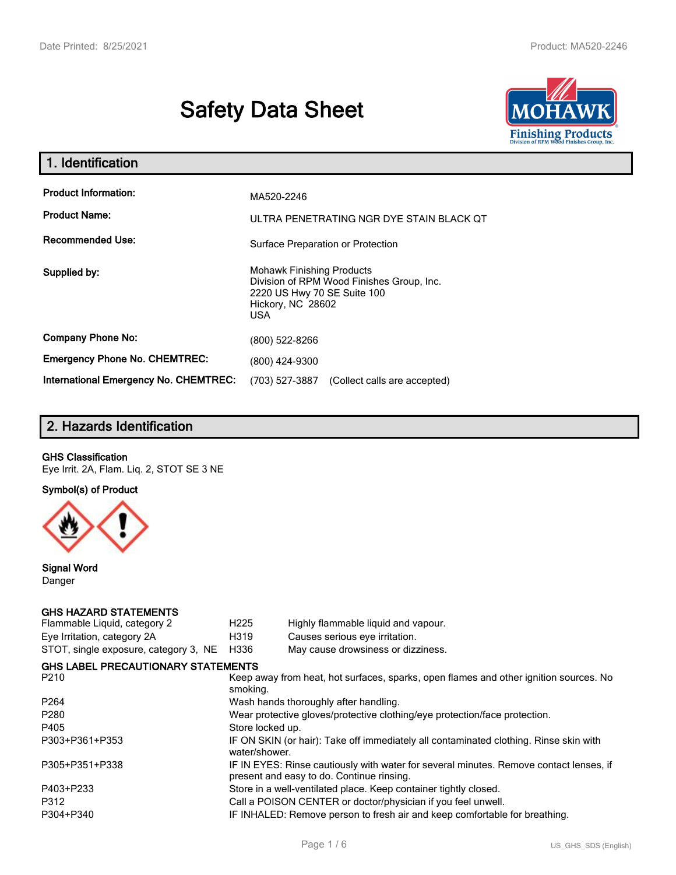# **Safety Data Sheet**



| 1. Identification                                   |                                                                                                                                                 |
|-----------------------------------------------------|-------------------------------------------------------------------------------------------------------------------------------------------------|
| <b>Product Information:</b><br><b>Product Name:</b> | MA520-2246<br>ULTRA PENETRATING NGR DYE STAIN BLACK QT                                                                                          |
| <b>Recommended Use:</b>                             | Surface Preparation or Protection                                                                                                               |
| Supplied by:                                        | <b>Mohawk Finishing Products</b><br>Division of RPM Wood Finishes Group, Inc.<br>2220 US Hwy 70 SE Suite 100<br>Hickory, NC 28602<br><b>USA</b> |
| <b>Company Phone No:</b>                            | (800) 522-8266                                                                                                                                  |
| <b>Emergency Phone No. CHEMTREC:</b>                | (800) 424-9300                                                                                                                                  |
| <b>International Emergency No. CHEMTREC:</b>        | (703) 527-3887<br>(Collect calls are accepted)                                                                                                  |

### **2. Hazards Identification**

#### **GHS Classification**

Eye Irrit. 2A, Flam. Liq. 2, STOT SE 3 NE

**Symbol(s) of Product**



**Signal Word** Danger

#### **GHS HAZARD STATEMENTS**

| H <sub>225</sub>                                                                                                                    | Highly flammable liquid and vapour.       |  |  |
|-------------------------------------------------------------------------------------------------------------------------------------|-------------------------------------------|--|--|
| H319                                                                                                                                | Causes serious eye irritation.            |  |  |
| H336                                                                                                                                | May cause drowsiness or dizziness.        |  |  |
|                                                                                                                                     |                                           |  |  |
| Keep away from heat, hot surfaces, sparks, open flames and other ignition sources. No<br>smoking.                                   |                                           |  |  |
| Wash hands thoroughly after handling.                                                                                               |                                           |  |  |
| Wear protective gloves/protective clothing/eye protection/face protection.                                                          |                                           |  |  |
| Store locked up.                                                                                                                    |                                           |  |  |
| IF ON SKIN (or hair): Take off immediately all contaminated clothing. Rinse skin with<br>water/shower.                              |                                           |  |  |
| IF IN EYES: Rinse cautiously with water for several minutes. Remove contact lenses, if<br>present and easy to do. Continue rinsing. |                                           |  |  |
| Store in a well-ventilated place. Keep container tightly closed.                                                                    |                                           |  |  |
| Call a POISON CENTER or doctor/physician if you feel unwell.                                                                        |                                           |  |  |
| IF INHALED: Remove person to fresh air and keep comfortable for breathing.                                                          |                                           |  |  |
|                                                                                                                                     | <b>GHS LABEL PRECAUTIONARY STATEMENTS</b> |  |  |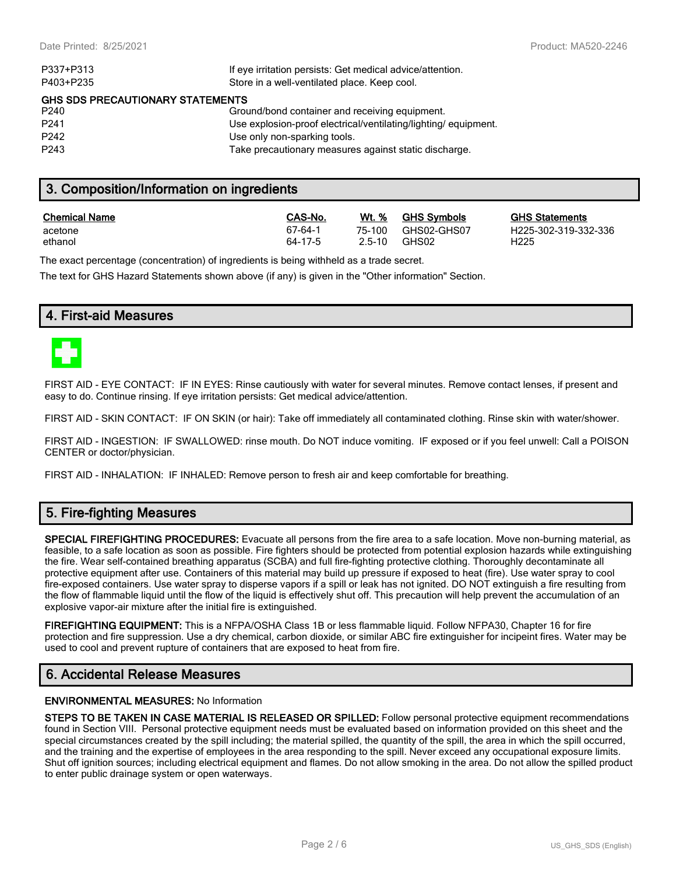| If eye irritation persists: Get medical advice/attention.      |  |  |  |
|----------------------------------------------------------------|--|--|--|
| Store in a well-ventilated place. Keep cool.                   |  |  |  |
| <b>GHS SDS PRECAUTIONARY STATEMENTS</b>                        |  |  |  |
| Ground/bond container and receiving equipment.                 |  |  |  |
| Use explosion-proof electrical/ventilating/lighting/equipment. |  |  |  |
| Use only non-sparking tools.                                   |  |  |  |
| Take precautionary measures against static discharge.          |  |  |  |
|                                                                |  |  |  |

### **3. Composition/Information on ingredients**

| <b>Chemical Name</b> | CAS-No. | Wt. %  | <b>GHS Symbols</b> | <b>GHS</b>       |
|----------------------|---------|--------|--------------------|------------------|
| acetone              | 67-64-1 | 75-100 | GHS02-GHS07        | H <sub>225</sub> |
| ethanol              | 64-17-5 | 2.5-10 | GHS02              | H225             |

**GHS Statements** H225-302-319-332-336

The exact percentage (concentration) of ingredients is being withheld as a trade secret.

The text for GHS Hazard Statements shown above (if any) is given in the "Other information" Section.

### **4. First-aid Measures**



FIRST AID - EYE CONTACT: IF IN EYES: Rinse cautiously with water for several minutes. Remove contact lenses, if present and easy to do. Continue rinsing. If eye irritation persists: Get medical advice/attention.

FIRST AID - SKIN CONTACT: IF ON SKIN (or hair): Take off immediately all contaminated clothing. Rinse skin with water/shower.

FIRST AID - INGESTION: IF SWALLOWED: rinse mouth. Do NOT induce vomiting. IF exposed or if you feel unwell: Call a POISON CENTER or doctor/physician.

FIRST AID - INHALATION: IF INHALED: Remove person to fresh air and keep comfortable for breathing.

### **5. Fire-fighting Measures**

**SPECIAL FIREFIGHTING PROCEDURES:** Evacuate all persons from the fire area to a safe location. Move non-burning material, as feasible, to a safe location as soon as possible. Fire fighters should be protected from potential explosion hazards while extinguishing the fire. Wear self-contained breathing apparatus (SCBA) and full fire-fighting protective clothing. Thoroughly decontaminate all protective equipment after use. Containers of this material may build up pressure if exposed to heat (fire). Use water spray to cool fire-exposed containers. Use water spray to disperse vapors if a spill or leak has not ignited. DO NOT extinguish a fire resulting from the flow of flammable liquid until the flow of the liquid is effectively shut off. This precaution will help prevent the accumulation of an explosive vapor-air mixture after the initial fire is extinguished.

**FIREFIGHTING EQUIPMENT:** This is a NFPA/OSHA Class 1B or less flammable liquid. Follow NFPA30, Chapter 16 for fire protection and fire suppression. Use a dry chemical, carbon dioxide, or similar ABC fire extinguisher for incipeint fires. Water may be used to cool and prevent rupture of containers that are exposed to heat from fire.

### **6. Accidental Release Measures**

#### **ENVIRONMENTAL MEASURES:** No Information

**STEPS TO BE TAKEN IN CASE MATERIAL IS RELEASED OR SPILLED:** Follow personal protective equipment recommendations found in Section VIII. Personal protective equipment needs must be evaluated based on information provided on this sheet and the special circumstances created by the spill including; the material spilled, the quantity of the spill, the area in which the spill occurred, and the training and the expertise of employees in the area responding to the spill. Never exceed any occupational exposure limits. Shut off ignition sources; including electrical equipment and flames. Do not allow smoking in the area. Do not allow the spilled product to enter public drainage system or open waterways.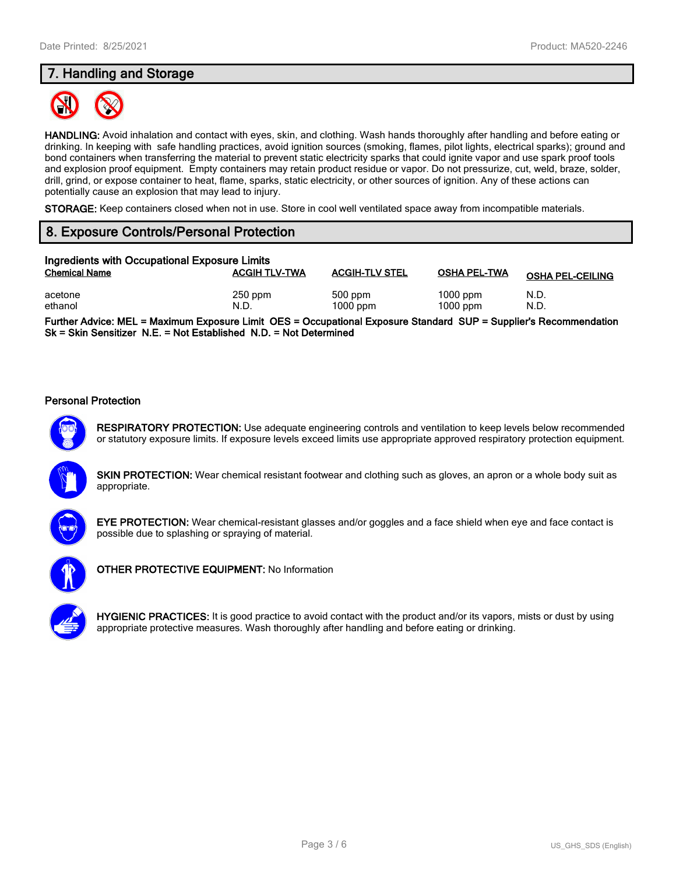### **7. Handling and Storage**



**HANDLING:** Avoid inhalation and contact with eyes, skin, and clothing. Wash hands thoroughly after handling and before eating or drinking. In keeping with safe handling practices, avoid ignition sources (smoking, flames, pilot lights, electrical sparks); ground and bond containers when transferring the material to prevent static electricity sparks that could ignite vapor and use spark proof tools and explosion proof equipment. Empty containers may retain product residue or vapor. Do not pressurize, cut, weld, braze, solder, drill, grind, or expose container to heat, flame, sparks, static electricity, or other sources of ignition. Any of these actions can potentially cause an explosion that may lead to injury.

**STORAGE:** Keep containers closed when not in use. Store in cool well ventilated space away from incompatible materials.

### **8. Exposure Controls/Personal Protection**

| Ingredients with Occupational Exposure Limits |                      |                         |                          |                         |
|-----------------------------------------------|----------------------|-------------------------|--------------------------|-------------------------|
| <b>Chemical Name</b>                          | <b>ACGIH TLV-TWA</b> | <b>ACGIH-TLV STEL</b>   | <b>OSHA PEL-TWA</b>      | <b>OSHA PEL-CEILING</b> |
| acetone<br>ethanol                            | $250$ ppm<br>N.D.    | $500$ ppm<br>$1000$ ppm | $1000$ ppm<br>$1000$ ppm | N.D.<br>N.D.            |

**Further Advice: MEL = Maximum Exposure Limit OES = Occupational Exposure Standard SUP = Supplier's Recommendation Sk = Skin Sensitizer N.E. = Not Established N.D. = Not Determined**

#### **Personal Protection**



**RESPIRATORY PROTECTION:** Use adequate engineering controls and ventilation to keep levels below recommended or statutory exposure limits. If exposure levels exceed limits use appropriate approved respiratory protection equipment.

**SKIN PROTECTION:** Wear chemical resistant footwear and clothing such as gloves, an apron or a whole body suit as appropriate.



**EYE PROTECTION:** Wear chemical-resistant glasses and/or goggles and a face shield when eye and face contact is possible due to splashing or spraying of material.



**OTHER PROTECTIVE EQUIPMENT:** No Information



**HYGIENIC PRACTICES:** It is good practice to avoid contact with the product and/or its vapors, mists or dust by using appropriate protective measures. Wash thoroughly after handling and before eating or drinking.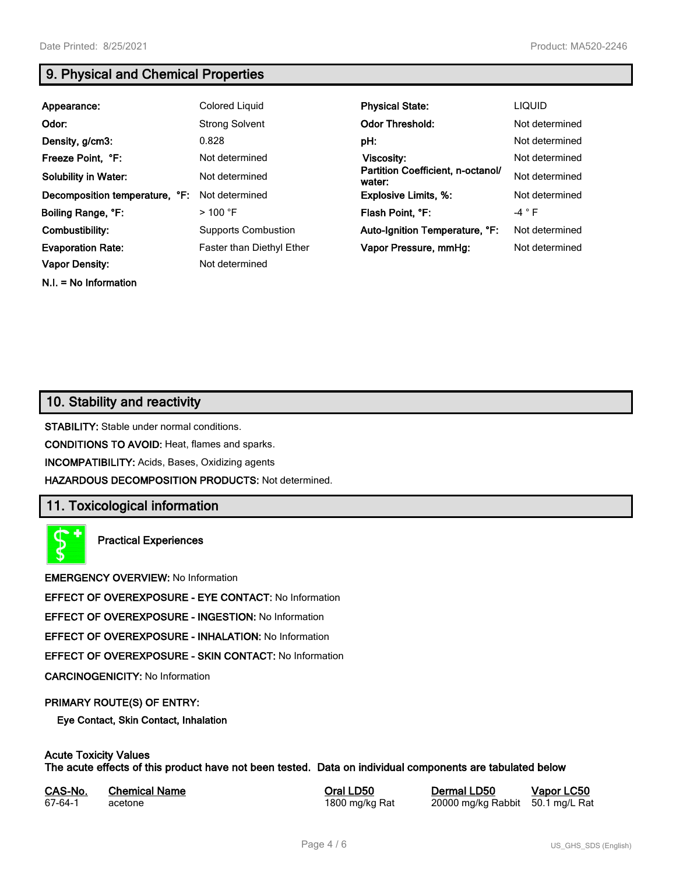**N.I. = No Information**

### **9. Physical and Chemical Properties**

| Appearance:                    | Colored Liquid             | <b>Physical State:</b>                      | <b>LIQUID</b>  |
|--------------------------------|----------------------------|---------------------------------------------|----------------|
| Odor:                          | <b>Strong Solvent</b>      | <b>Odor Threshold:</b>                      | Not determined |
| Density, g/cm3:                | 0.828                      | pH:                                         | Not determined |
| Freeze Point, °F:              | Not determined             | <b>Viscosity:</b>                           | Not determined |
| <b>Solubility in Water:</b>    | Not determined             | Partition Coefficient, n-octanol/<br>water: | Not determined |
| Decomposition temperature, °F: | Not determined             | <b>Explosive Limits, %:</b>                 | Not determined |
| Boiling Range, °F:             | $>100$ °F                  | Flash Point, °F:                            | $-4 ° F$       |
| Combustibility:                | <b>Supports Combustion</b> | Auto-Ignition Temperature, °F:              | Not determined |
| <b>Evaporation Rate:</b>       | Faster than Diethyl Ether  | Vapor Pressure, mmHg:                       | Not determined |
| <b>Vapor Density:</b>          | Not determined             |                                             |                |

## **10. Stability and reactivity**

**STABILITY:** Stable under normal conditions.

**CONDITIONS TO AVOID:** Heat, flames and sparks.

**INCOMPATIBILITY:** Acids, Bases, Oxidizing agents

**HAZARDOUS DECOMPOSITION PRODUCTS:** Not determined.

### **11. Toxicological information**

**Practical Experiences**

**EMERGENCY OVERVIEW:** No Information

**EFFECT OF OVEREXPOSURE - EYE CONTACT:** No Information

**EFFECT OF OVEREXPOSURE - INGESTION:** No Information

**EFFECT OF OVEREXPOSURE - INHALATION:** No Information

**EFFECT OF OVEREXPOSURE - SKIN CONTACT:** No Information

**CARCINOGENICITY:** No Information

#### **PRIMARY ROUTE(S) OF ENTRY:**

**Eye Contact, Skin Contact, Inhalation**

### **Acute Toxicity Values**

**The acute effects of this product have not been tested. Data on individual components are tabulated below**

| CAS-No. | <b>Chemical Name</b> |
|---------|----------------------|
| 67-64-1 | acetone              |

**Casary Chemical Chemical LD50 Chemical LD50 Vapor LC50** 1800 mg/kg Rat 20000 mg/kg Rabbit 50.1 mg/L Rat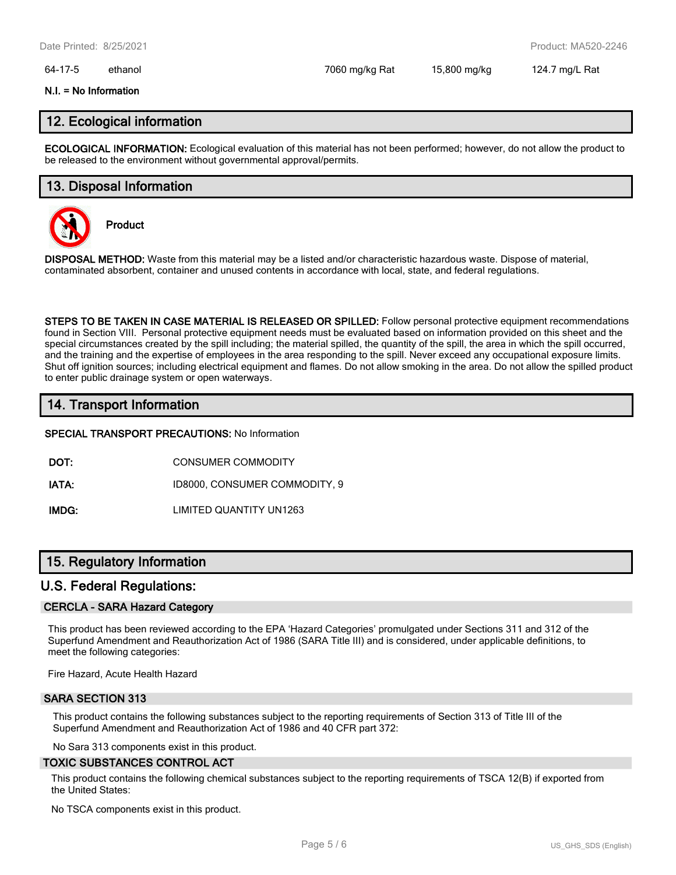#### 64-17-5 ethanol 7060 mg/kg Rat 15,800 mg/kg 124.7 mg/L Rat

#### **N.I. = No Information**

### **12. Ecological information**

**ECOLOGICAL INFORMATION:** Ecological evaluation of this material has not been performed; however, do not allow the product to be released to the environment without governmental approval/permits.

#### **13. Disposal Information**



**Product**

**DISPOSAL METHOD:** Waste from this material may be a listed and/or characteristic hazardous waste. Dispose of material, contaminated absorbent, container and unused contents in accordance with local, state, and federal regulations.

**STEPS TO BE TAKEN IN CASE MATERIAL IS RELEASED OR SPILLED:** Follow personal protective equipment recommendations found in Section VIII. Personal protective equipment needs must be evaluated based on information provided on this sheet and the special circumstances created by the spill including; the material spilled, the quantity of the spill, the area in which the spill occurred, and the training and the expertise of employees in the area responding to the spill. Never exceed any occupational exposure limits. Shut off ignition sources; including electrical equipment and flames. Do not allow smoking in the area. Do not allow the spilled product to enter public drainage system or open waterways.

### **14. Transport Information**

#### **SPECIAL TRANSPORT PRECAUTIONS:** No Information

**DOT:** CONSUMER COMMODITY

**IATA:** ID8000, CONSUMER COMMODITY, 9

**IMDG:** LIMITED QUANTITY UN1263

### **15. Regulatory Information**

#### **U.S. Federal Regulations:**

#### **CERCLA - SARA Hazard Category**

This product has been reviewed according to the EPA 'Hazard Categories' promulgated under Sections 311 and 312 of the Superfund Amendment and Reauthorization Act of 1986 (SARA Title III) and is considered, under applicable definitions, to meet the following categories:

Fire Hazard, Acute Health Hazard

#### **SARA SECTION 313**

This product contains the following substances subject to the reporting requirements of Section 313 of Title III of the Superfund Amendment and Reauthorization Act of 1986 and 40 CFR part 372:

No Sara 313 components exist in this product.

#### **TOXIC SUBSTANCES CONTROL ACT**

This product contains the following chemical substances subject to the reporting requirements of TSCA 12(B) if exported from the United States:

No TSCA components exist in this product.